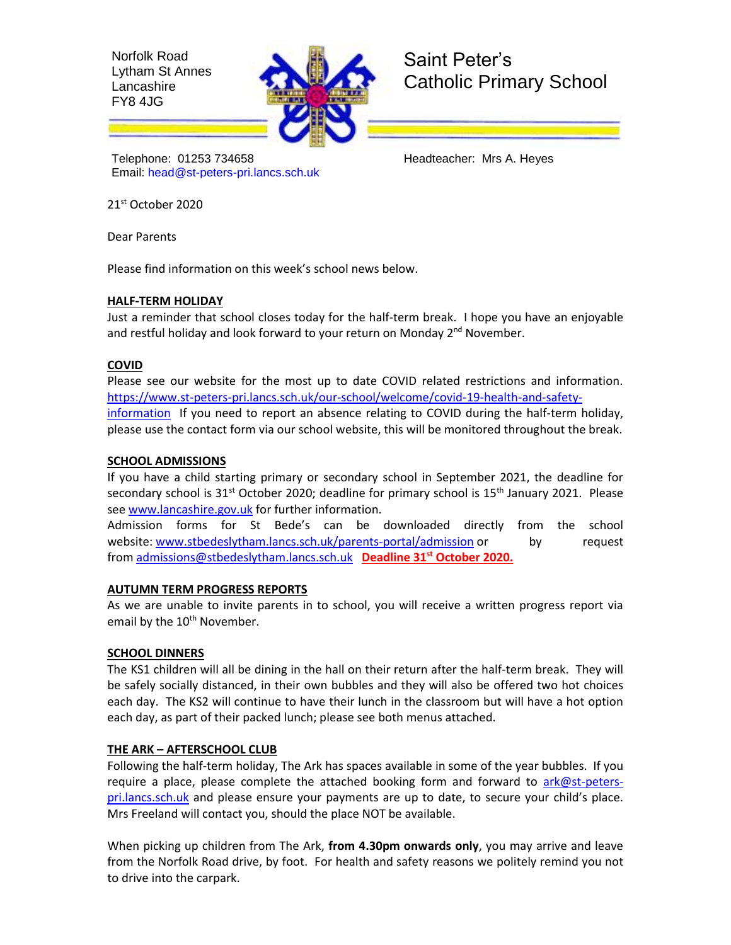Norfolk Road Lytham St Annes Lancashire FY8 4JG



Saint Peter's Catholic Primary School

Telephone: 01253 734658 Headteacher: Mrs A. Heyes Email: [head@st-peters-pri.lancs.sch.uk](mailto:head@st-peters-pri.lancs.sch.uk)

21st October 2020

Dear Parents

Please find information on this week's school news below.

## **HALF-TERM HOLIDAY**

Just a reminder that school closes today for the half-term break. I hope you have an enjoyable and restful holiday and look forward to your return on Monday  $2^{nd}$  November.

## **COVID**

Please see our website for the most up to date COVID related restrictions and information. [https://www.st-peters-pri.lancs.sch.uk/our-school/welcome/covid-19-health-and-safety](https://www.st-peters-pri.lancs.sch.uk/our-school/welcome/covid-19-health-and-safety-information)[information](https://www.st-peters-pri.lancs.sch.uk/our-school/welcome/covid-19-health-and-safety-information) If you need to report an absence relating to COVID during the half-term holiday, please use the contact form via our school website, this will be monitored throughout the break.

## **SCHOOL ADMISSIONS**

If you have a child starting primary or secondary school in September 2021, the deadline for secondary school is  $31<sup>st</sup>$  October 2020; deadline for primary school is  $15<sup>th</sup>$  January 2021. Please se[e www.lancashire.gov.uk](http://www.lancashire.gov.uk/) for further information.

Admission forms for St Bede's can be downloaded directly from the school website: [www.stbedeslytham.lancs.sch.uk/parents-portal/admission](https://www.stbedeslytham.lancs.sch.uk/parents-portal/admission) or by request from [admissions@stbedeslytham.lancs.sch.uk](mailto:admissions@stbedeslytham.lancs.sch.uk) **Deadline 31st October 2020.**

### **AUTUMN TERM PROGRESS REPORTS**

As we are unable to invite parents in to school, you will receive a written progress report via email by the 10<sup>th</sup> November.

# **SCHOOL DINNERS**

The KS1 children will all be dining in the hall on their return after the half-term break. They will be safely socially distanced, in their own bubbles and they will also be offered two hot choices each day. The KS2 will continue to have their lunch in the classroom but will have a hot option each day, as part of their packed lunch; please see both menus attached.

# **THE ARK – AFTERSCHOOL CLUB**

Following the half-term holiday, The Ark has spaces available in some of the year bubbles. If you require a place, please complete the attached booking form and forward to [ark@st-peters](mailto:ark@st-peters-pri.lancs.sch.uk)[pri.lancs.sch.uk](mailto:ark@st-peters-pri.lancs.sch.uk) and please ensure your payments are up to date, to secure your child's place. Mrs Freeland will contact you, should the place NOT be available.

When picking up children from The Ark, **from 4.30pm onwards only**, you may arrive and leave from the Norfolk Road drive, by foot. For health and safety reasons we politely remind you not to drive into the carpark.